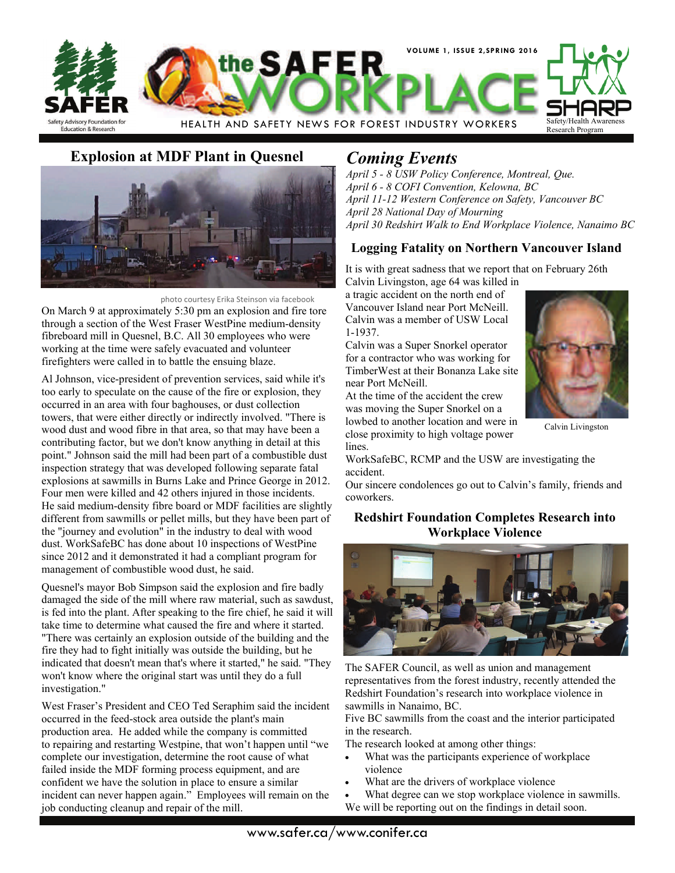

# **Explosion at MDF Plant in Quesnel** *Coming Events*



 photo courtesy Erika Steinson via facebook On March 9 at approximately 5:30 pm an explosion and fire tore through a section of the West Fraser WestPine medium-density fibreboard mill in Quesnel, B.C. All 30 employees who were working at the time were safely evacuated and volunteer firefighters were called in to battle the ensuing blaze.

Al Johnson, vice-president of prevention services, said while it's too early to speculate on the cause of the fire or explosion, they occurred in an area with four baghouses, or dust collection towers, that were either directly or indirectly involved. "There is wood dust and wood fibre in that area, so that may have been a contributing factor, but we don't know anything in detail at this point." Johnson said the mill had been part of a combustible dust inspection strategy that was developed following separate fatal explosions at sawmills in Burns Lake and Prince George in 2012. Four men were killed and 42 others injured in those incidents. He said medium-density fibre board or MDF facilities are slightly different from sawmills or pellet mills, but they have been part of the "journey and evolution" in the industry to deal with wood dust. WorkSafeBC has done about 10 inspections of WestPine since 2012 and it demonstrated it had a compliant program for management of combustible wood dust, he said.

Quesnel's mayor Bob Simpson said the explosion and fire badly damaged the side of the mill where raw material, such as sawdust, is fed into the plant. After speaking to the fire chief, he said it will take time to determine what caused the fire and where it started. "There was certainly an explosion outside of the building and the fire they had to fight initially was outside the building, but he indicated that doesn't mean that's where it started," he said. "They won't know where the original start was until they do a full investigation."

West Fraser's President and CEO Ted Seraphim said the incident occurred in the feed-stock area outside the plant's main production area. He added while the company is committed to repairing and restarting Westpine, that won't happen until "we complete our investigation, determine the root cause of what failed inside the MDF forming process equipment, and are confident we have the solution in place to ensure a similar incident can never happen again." Employees will remain on the job conducting cleanup and repair of the mill.

*April 5 - 8 USW Policy Conference, Montreal, Que. April 6 - 8 COFI Convention, Kelowna, BC April 11-12 Western Conference on Safety, Vancouver BC April 28 National Day of Mourning April 30 Redshirt Walk to End Workplace Violence, Nanaimo BC* 

## **Logging Fatality on Northern Vancouver Island**

It is with great sadness that we report that on February 26th Calvin Livingston, age 64 was killed in

a tragic accident on the north end of Vancouver Island near Port McNeill. Calvin was a member of USW Local 1-1937.

Calvin was a Super Snorkel operator for a contractor who was working for TimberWest at their Bonanza Lake site near Port McNeill.

At the time of the accident the crew was moving the Super Snorkel on a lowbed to another location and were in close proximity to high voltage power lines.



Calvin Livingston

WorkSafeBC, RCMP and the USW are investigating the accident.

Our sincere condolences go out to Calvin's family, friends and coworkers.

### **Redshirt Foundation Completes Research into Workplace Violence**



The SAFER Council, as well as union and management representatives from the forest industry, recently attended the Redshirt Foundation's research into workplace violence in sawmills in Nanaimo, BC.

Five BC sawmills from the coast and the interior participated in the research.

The research looked at among other things:

- What was the participants experience of workplace violence
- What are the drivers of workplace violence
- What degree can we stop workplace violence in sawmills. We will be reporting out on the findings in detail soon.